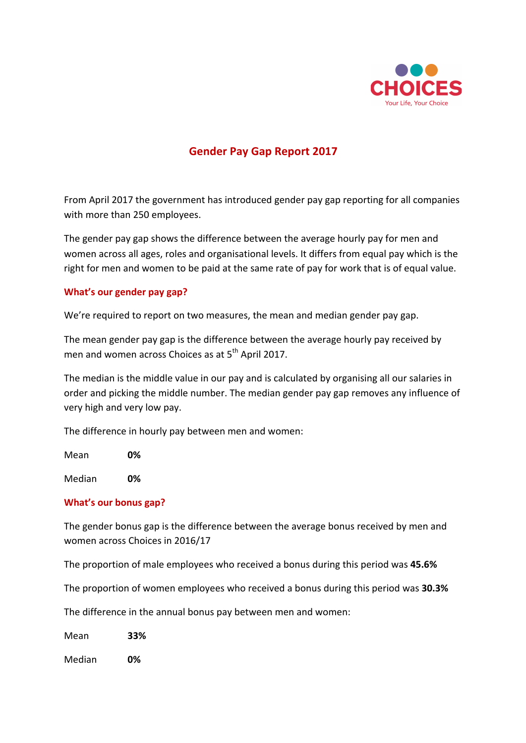

# **Gender Pay Gap Report 2017**

From April 2017 the government has introduced gender pay gap reporting for all companies with more than 250 employees.

The gender pay gap shows the difference between the average hourly pay for men and women across all ages, roles and organisational levels. It differs from equal pay which is the right for men and women to be paid at the same rate of pay for work that is of equal value.

## **What's our gender pay gap?**

We're required to report on two measures, the mean and median gender pay gap.

The mean gender pay gap is the difference between the average hourly pay received by men and women across Choices as at 5<sup>th</sup> April 2017.

The median is the middle value in our pay and is calculated by organising all our salaries in order and picking the middle number. The median gender pay gap removes any influence of very high and very low pay.

The difference in hourly pay between men and women:

Mean **0%**

Median **0%**

#### **What's our bonus gap?**

The gender bonus gap is the difference between the average bonus received by men and women across Choices in 2016/17

The proportion of male employees who received a bonus during this period was 45.6%

The proportion of women employees who received a bonus during this period was **30.3%** 

The difference in the annual bonus pay between men and women:

Mean **33%**

Median **0%**